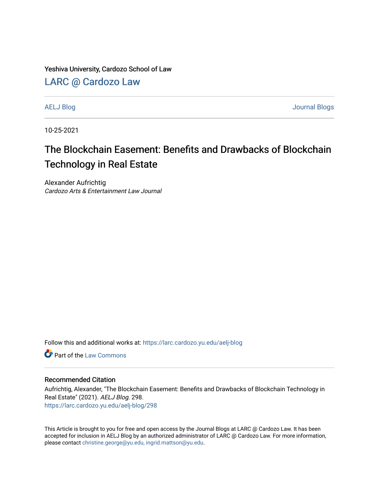Yeshiva University, Cardozo School of Law

### [LARC @ Cardozo Law](https://larc.cardozo.yu.edu/)

[AELJ Blog](https://larc.cardozo.yu.edu/aelj-blog) [Journal Blogs](https://larc.cardozo.yu.edu/journal-blogs) 

10-25-2021

# The Blockchain Easement: Benefits and Drawbacks of Blockchain Technology in Real Estate

Alexander Aufrichtig Cardozo Arts & Entertainment Law Journal

Follow this and additional works at: [https://larc.cardozo.yu.edu/aelj-blog](https://larc.cardozo.yu.edu/aelj-blog?utm_source=larc.cardozo.yu.edu%2Faelj-blog%2F298&utm_medium=PDF&utm_campaign=PDFCoverPages) 

**C** Part of the [Law Commons](http://network.bepress.com/hgg/discipline/578?utm_source=larc.cardozo.yu.edu%2Faelj-blog%2F298&utm_medium=PDF&utm_campaign=PDFCoverPages)

#### Recommended Citation

Aufrichtig, Alexander, "The Blockchain Easement: Benefits and Drawbacks of Blockchain Technology in Real Estate" (2021). AELJ Blog. 298. [https://larc.cardozo.yu.edu/aelj-blog/298](https://larc.cardozo.yu.edu/aelj-blog/298?utm_source=larc.cardozo.yu.edu%2Faelj-blog%2F298&utm_medium=PDF&utm_campaign=PDFCoverPages) 

This Article is brought to you for free and open access by the Journal Blogs at LARC @ Cardozo Law. It has been accepted for inclusion in AELJ Blog by an authorized administrator of LARC @ Cardozo Law. For more information, please contact [christine.george@yu.edu, ingrid.mattson@yu.edu.](mailto:christine.george@yu.edu,%20ingrid.mattson@yu.edu)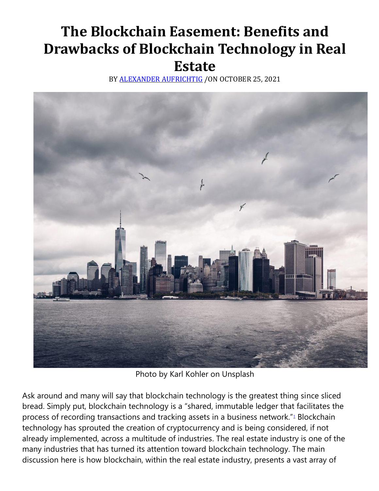# **The Blockchain Easement: Benefits and Drawbacks of Blockchain Technology in Real Estate**

BY [ALEXANDER AUFRICHTIG](https://cardozoaelj.com/author/alexander-aufrichtig/) /ON OCTOBER 25, 2021



Photo by Karl Kohler on Unsplash

Ask around and many will say that blockchain technology is the greatest thing since sliced bread. Simply put, blockchain technology is a "shared, immutable ledger that facilitates the process of recording transactions and tracking assets in a business network.["](https://cardozoaelj.com/2021/10/25/the-blockchain-easement-benefits-and-drawbacks-of-blockchain-technology-in-real-estate/#easy-footnote-bottom-1-7299)<sup>1</sup> Blockchain technology has sprouted the creation of cryptocurrency and is being considered, if not already implemented, across a multitude of industries. The real estate industry is one of the many industries that has turned its attention toward blockchain technology. The main discussion here is how blockchain, within the real estate industry, presents a vast array of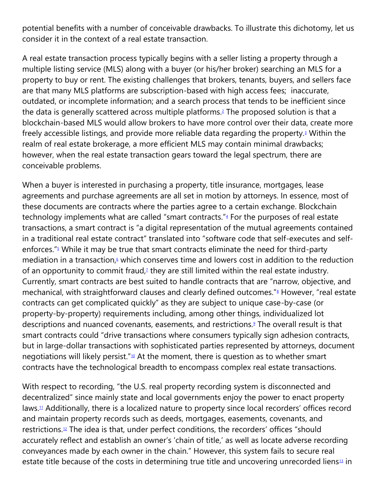potential benefits with a number of conceivable drawbacks. To illustrate this dichotomy, let us consider it in the context of a real estate transaction.

A real estate transaction process typically begins with a seller listing a property through a multiple listing service (MLS) along with a buyer (or his/her broker) searching an MLS for a property to buy or rent. The existing challenges that brokers, tenants, buyers, and sellers face are that many MLS platforms are subscription-based with high access fees; inaccurate, outdated, or incomplete information; and a search process that tends to be inefficient since the data is generally scattered across multiple platforms[.](https://cardozoaelj.com/2021/10/25/the-blockchain-easement-benefits-and-drawbacks-of-blockchain-technology-in-real-estate/#easy-footnote-bottom-2-7299)<sup>2</sup> The proposed solution is that a blockchain-based MLS would allow brokers to have more control over their data, create more freely accessible listings, and provide more reliable data regarding the property[.](https://cardozoaelj.com/2021/10/25/the-blockchain-easement-benefits-and-drawbacks-of-blockchain-technology-in-real-estate/#easy-footnote-bottom-3-7299)<sup>3</sup> Within the realm of real estate brokerage, a more efficient MLS may contain minimal drawbacks; however, when the real estate transaction gears toward the legal spectrum, there are conceivable problems.

When a buyer is interested in purchasing a property, title insurance, mortgages, lease agreements and purchase agreements are all set in motion by attorneys. In essence, most of these documents are contracts where the parties agree to a certain exchange. Blockchain technology implements what are called ["](https://cardozoaelj.com/2021/10/25/the-blockchain-easement-benefits-and-drawbacks-of-blockchain-technology-in-real-estate/#easy-footnote-bottom-4-7299)smart contracts."<sup>4</sup> For the purposes of real estate transactions, a smart contract is "a digital representation of the mutual agreements contained in a traditional real estate contract" translated into "software code that self-executes and selfenforces.["](https://cardozoaelj.com/2021/10/25/the-blockchain-easement-benefits-and-drawbacks-of-blockchain-technology-in-real-estate/#easy-footnote-bottom-5-7299)<sup>5</sup> While it may be true that smart contracts eliminate the need for third-party mediation in a transaction[,](https://cardozoaelj.com/2021/10/25/the-blockchain-easement-benefits-and-drawbacks-of-blockchain-technology-in-real-estate/#easy-footnote-bottom-6-7299) $\epsilon$  which conserves time and lowers cost in addition to the reduction of an opportunity to commit fraud[,](https://cardozoaelj.com/2021/10/25/the-blockchain-easement-benefits-and-drawbacks-of-blockchain-technology-in-real-estate/#easy-footnote-bottom-7-7299) $\lambda$  they are still limited within the real estate industry. Currently, smart contracts are best suited to handle contracts that are "narrow, objective, and mechanical, with straightforward clauses and clearly defined outcomes.["](https://cardozoaelj.com/2021/10/25/the-blockchain-easement-benefits-and-drawbacks-of-blockchain-technology-in-real-estate/#easy-footnote-bottom-8-7299)<sup>8</sup> However, "real estate contracts can get complicated quickly" as they are subject to unique case-by-case (or property-by-property) requirements including, among other things, individualized lot descriptions and nuanced covenants, easements, and restrictions[.](https://cardozoaelj.com/2021/10/25/the-blockchain-easement-benefits-and-drawbacks-of-blockchain-technology-in-real-estate/#easy-footnote-bottom-9-7299)<sup>9</sup> The overall result is that smart contracts could "drive transactions where consumers typically sign adhesion contracts, but in large-dollar transactions with sophisticated parties represented by attorneys, document negotiations will likely persist."<sup>[10](https://cardozoaelj.com/2021/10/25/the-blockchain-easement-benefits-and-drawbacks-of-blockchain-technology-in-real-estate/#easy-footnote-bottom-10-7299)</sup> At the moment, there is question as to whether smart contracts have the technological breadth to encompass complex real estate transactions.

With respect to recording, "the U.S. real property recording system is disconnected and decentralized" since mainly state and local governments enjoy the power to enact property laws.<sup>[11](https://cardozoaelj.com/2021/10/25/the-blockchain-easement-benefits-and-drawbacks-of-blockchain-technology-in-real-estate/#easy-footnote-bottom-11-7299)</sup> Additionally, there is a localized nature to property since local recorders' offices record and maintain property records such as deeds, mortgages, easements, covenants, and restrictions.[12](https://cardozoaelj.com/2021/10/25/the-blockchain-easement-benefits-and-drawbacks-of-blockchain-technology-in-real-estate/#easy-footnote-bottom-12-7299) The idea is that, under perfect conditions, the recorders' offices "should accurately reflect and establish an owner's 'chain of title,' as well as locate adverse recording conveyances made by each owner in the chain." However, this system fails to secure real estate title because of the costs in determining true title and uncovering unrecorded liens $1/3$  in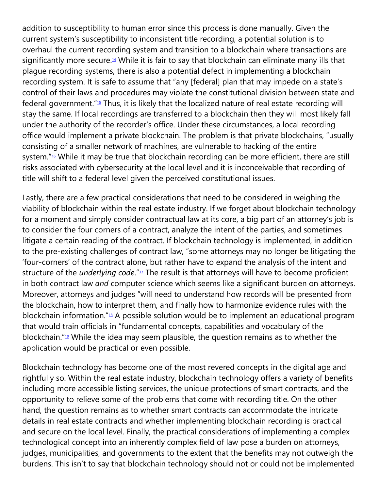addition to susceptibility to human error since this process is done manually. Given the current system's susceptibility to inconsistent title recording, a potential solution is to overhaul the current recording system and transition to a blockchain where transactions are significantly more secure.<sup>[14](https://cardozoaelj.com/2021/10/25/the-blockchain-easement-benefits-and-drawbacks-of-blockchain-technology-in-real-estate/#easy-footnote-bottom-14-7299)</sup> While it is fair to say that blockchain can eliminate many ills that plague recording systems, there is also a potential defect in implementing a blockchain recording system. It is safe to assume that "any [federal] plan that may impede on a state's control of their laws and procedures may violate the constitutional division between state and federal government."[15](https://cardozoaelj.com/2021/10/25/the-blockchain-easement-benefits-and-drawbacks-of-blockchain-technology-in-real-estate/#easy-footnote-bottom-15-7299) Thus, it is likely that the localized nature of real estate recording will stay the same. If local recordings are transferred to a blockchain then they will most likely fall under the authority of the recorder's office. Under these circumstances, a local recording office would implement a private blockchain. The problem is that private blockchains, "usually consisting of a smaller network of machines, are vulnerable to hacking of the entire system."<sup>[16](https://cardozoaelj.com/2021/10/25/the-blockchain-easement-benefits-and-drawbacks-of-blockchain-technology-in-real-estate/#easy-footnote-bottom-16-7299)</sup> While it may be true that blockchain recording can be more efficient, there are still risks associated with cybersecurity at the local level and it is inconceivable that recording of title will shift to a federal level given the perceived constitutional issues.

Lastly, there are a few practical considerations that need to be considered in weighing the viability of blockchain within the real estate industry. If we forget about blockchain technology for a moment and simply consider contractual law at its core, a big part of an attorney's job is to consider the four corners of a contract, analyze the intent of the parties, and sometimes litigate a certain reading of the contract. If blockchain technology is implemented, in addition to the pre-existing challenges of contract law, "some attorneys may no longer be litigating the 'four-corners' of the contract alone, but rather have to expand the analysis of the intent and structure of the *underlying code*."[17](https://cardozoaelj.com/2021/10/25/the-blockchain-easement-benefits-and-drawbacks-of-blockchain-technology-in-real-estate/#easy-footnote-bottom-17-7299) The result is that attorneys will have to become proficient in both contract law *and* computer science which seems like a significant burden on attorneys. Moreover, attorneys and judges "will need to understand how records will be presented from the blockchain, how to interpret them, and finally how to harmonize evidence rules with the blockchain information."[18](https://cardozoaelj.com/2021/10/25/the-blockchain-easement-benefits-and-drawbacks-of-blockchain-technology-in-real-estate/#easy-footnote-bottom-18-7299) A possible solution would be to implement an educational program that would train officials in "fundamental concepts, capabilities and vocabulary of the blockchain." $19$  While the idea may seem plausible, the question remains as to whether the application would be practical or even possible.

Blockchain technology has become one of the most revered concepts in the digital age and rightfully so. Within the real estate industry, blockchain technology offers a variety of benefits including more accessible listing services, the unique protections of smart contracts, and the opportunity to relieve some of the problems that come with recording title. On the other hand, the question remains as to whether smart contracts can accommodate the intricate details in real estate contracts and whether implementing blockchain recording is practical and secure on the local level. Finally, the practical considerations of implementing a complex technological concept into an inherently complex field of law pose a burden on attorneys, judges, municipalities, and governments to the extent that the benefits may not outweigh the burdens. This isn't to say that blockchain technology should not or could not be implemented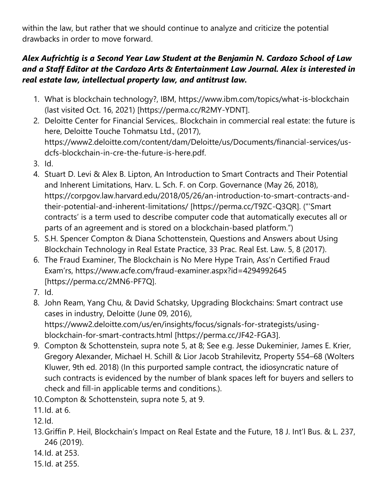within the law, but rather that we should continue to analyze and criticize the potential drawbacks in order to move forward.

## *Alex Aufrichtig is a Second Year Law Student at the Benjamin N. Cardozo School of Law and a Staff Editor at the Cardozo Arts & Entertainment Law Journal. Alex is interested in real estate law, intellectual property law, and antitrust law.*

- 1. What is blockchain technology?, IBM, https://www.ibm.com/topics/what-is-blockchain (last visited Oct. 16, 2021) [https://perma.cc/R2MY-YDNT].
- 2. Deloitte Center for Financial Services,. Blockchain in commercial real estate: the future is here, Deloitte Touche Tohmatsu Ltd., (2017), https://www2.deloitte.com/content/dam/Deloitte/us/Documents/financial-services/usdcfs-blockchain-in-cre-the-future-is-here.pdf.
- 3. Id.
- 4. Stuart D. Levi & Alex B. Lipton, An Introduction to Smart Contracts and Their Potential and Inherent Limitations, Harv. L. Sch. F. on Corp. Governance (May 26, 2018), https://corpgov.law.harvard.edu/2018/05/26/an-introduction-to-smart-contracts-andtheir-potential-and-inherent-limitations/ [https://perma.cc/T9ZC-Q3QR]. ("'Smart contracts' is a term used to describe computer code that automatically executes all or parts of an agreement and is stored on a blockchain-based platform.")
- 5. S.H. Spencer Compton & Diana Schottenstein, Questions and Answers about Using Blockchain Technology in Real Estate Practice, 33 Prac. Real Est. Law. 5, 8 (2017).
- 6. The Fraud Examiner, The Blockchain is No Mere Hype Train, Ass'n Certified Fraud Exam'rs, https://www.acfe.com/fraud-examiner.aspx?id=4294992645 [https://perma.cc/2MN6-PF7Q].
- 7. Id.
- 8. John Ream, Yang Chu, & David Schatsky, Upgrading Blockchains: Smart contract use cases in industry, Deloitte (June 09, 2016), https://www2.deloitte.com/us/en/insights/focus/signals-for-strategists/usingblockchain-for-smart-contracts.html [https://perma.cc/JF42-FGA3].
- 9. Compton & Schottenstein, supra note 5, at 8; See e.g. Jesse Dukeminier, James E. Krier, Gregory Alexander, Michael H. Schill & Lior Jacob Strahilevitz, Property 554–68 (Wolters Kluwer, 9th ed. 2018) (In this purported sample contract, the idiosyncratic nature of such contracts is evidenced by the number of blank spaces left for buyers and sellers to check and fill-in applicable terms and conditions.).
- 10.Compton & Schottenstein, supra note 5, at 9.
- 11.Id. at 6.
- 12.Id.
- 13.Griffin P. Heil, Blockchain's Impact on Real Estate and the Future, 18 J. Int'l Bus. & L. 237, 246 (2019).
- 14.Id. at 253.
- 15.Id. at 255.